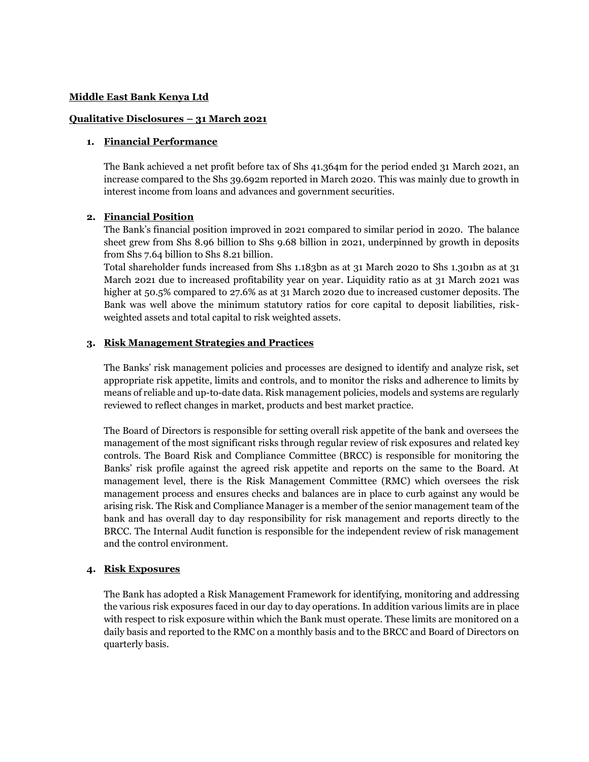#### **Middle East Bank Kenya Ltd**

#### **Qualitative Disclosures – 31 March 2021**

### **1. Financial Performance**

The Bank achieved a net profit before tax of Shs 41.364m for the period ended 31 March 2021, an increase compared to the Shs 39.692m reported in March 2020. This was mainly due to growth in interest income from loans and advances and government securities.

### **2. Financial Position**

The Bank's financial position improved in 2021 compared to similar period in 2020. The balance sheet grew from Shs 8.96 billion to Shs 9.68 billion in 2021, underpinned by growth in deposits from Shs 7.64 billion to Shs 8.21 billion.

Total shareholder funds increased from Shs 1.183bn as at 31 March 2020 to Shs 1.301bn as at 31 March 2021 due to increased profitability year on year. Liquidity ratio as at 31 March 2021 was higher at 50.5% compared to 27.6% as at 31 March 2020 due to increased customer deposits. The Bank was well above the minimum statutory ratios for core capital to deposit liabilities, riskweighted assets and total capital to risk weighted assets.

#### **3. Risk Management Strategies and Practices**

The Banks' risk management policies and processes are designed to identify and analyze risk, set appropriate risk appetite, limits and controls, and to monitor the risks and adherence to limits by means of reliable and up-to-date data. Risk management policies, models and systems are regularly reviewed to reflect changes in market, products and best market practice.

The Board of Directors is responsible for setting overall risk appetite of the bank and oversees the management of the most significant risks through regular review of risk exposures and related key controls. The Board Risk and Compliance Committee (BRCC) is responsible for monitoring the Banks' risk profile against the agreed risk appetite and reports on the same to the Board. At management level, there is the Risk Management Committee (RMC) which oversees the risk management process and ensures checks and balances are in place to curb against any would be arising risk. The Risk and Compliance Manager is a member of the senior management team of the bank and has overall day to day responsibility for risk management and reports directly to the BRCC. The Internal Audit function is responsible for the independent review of risk management and the control environment.

### **4. Risk Exposures**

The Bank has adopted a Risk Management Framework for identifying, monitoring and addressing the various risk exposures faced in our day to day operations. In addition various limits are in place with respect to risk exposure within which the Bank must operate. These limits are monitored on a daily basis and reported to the RMC on a monthly basis and to the BRCC and Board of Directors on quarterly basis.